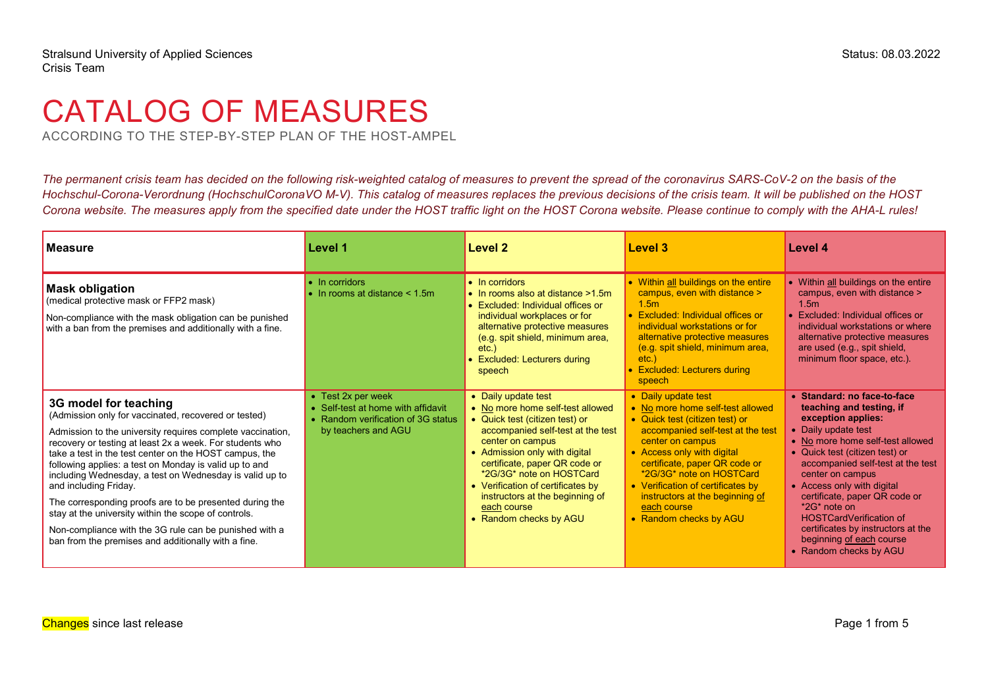# CATALOG OF MEASURES

ACCORDING TO THE STEP-BY-STEP PLAN OF THE HOST-AMPEL

*The permanent crisis team has decided on the following risk-weighted catalog of measures to prevent the spread of the coronavirus SARS-CoV-2 on the basis of the Hochschul-Corona-Verordnung [\(HochschulCoronaVO M-V\)](https://www.landesrecht-mv.de/bsmv/document/jlr-CoronaHSchulVMVrahmen). This catalog of measures replaces the previous decisions of the crisis team. It will be published on the HOST*  Corona website. The measures apply from the specified date under the HOST traffic light on the HOST Corona website. Please continue to comply with the AHA-L rules!

| <b>Measure</b>                                                                                                                                                                                                                                                                                                                                                                                                                                                                                                                                                                                                                                      | Level 1                                                                                                                       | Level 2                                                                                                                                                                                                                                                                                                                                                           | Level 3                                                                                                                                                                                                                                                                                                                                                        | Level 4                                                                                                                                                                                                                                                                                                                                                                                                                                            |
|-----------------------------------------------------------------------------------------------------------------------------------------------------------------------------------------------------------------------------------------------------------------------------------------------------------------------------------------------------------------------------------------------------------------------------------------------------------------------------------------------------------------------------------------------------------------------------------------------------------------------------------------------------|-------------------------------------------------------------------------------------------------------------------------------|-------------------------------------------------------------------------------------------------------------------------------------------------------------------------------------------------------------------------------------------------------------------------------------------------------------------------------------------------------------------|----------------------------------------------------------------------------------------------------------------------------------------------------------------------------------------------------------------------------------------------------------------------------------------------------------------------------------------------------------------|----------------------------------------------------------------------------------------------------------------------------------------------------------------------------------------------------------------------------------------------------------------------------------------------------------------------------------------------------------------------------------------------------------------------------------------------------|
| <b>Mask obligation</b><br>(medical protective mask or FFP2 mask)<br>Non-compliance with the mask obligation can be punished<br>with a ban from the premises and additionally with a fine.                                                                                                                                                                                                                                                                                                                                                                                                                                                           | $\bullet$ In corridors<br>$\bullet$ In rooms at distance $\leq 1.5$ m                                                         | • In corridors<br>• In rooms also at distance >1.5m<br>• Excluded: Individual offices or<br>individual workplaces or for<br>alternative protective measures<br>(e.g. spit shield, minimum area,<br>$etc.$ )<br>• Excluded: Lecturers during<br>speech                                                                                                             | • Within all buildings on the entire<br>campus, even with distance ><br>1.5m<br>• Excluded: Individual offices or<br>individual workstations or for<br>alternative protective measures<br>(e.g. spit shield, minimum area,<br>etc.<br>• Excluded: Lecturers during<br>speech                                                                                   | • Within all buildings on the entire<br>campus, even with distance ><br>1.5 <sub>m</sub><br>• Excluded: Individual offices or<br>individual workstations or where<br>alternative protective measures<br>are used (e.g., spit shield,<br>minimum floor space, etc.).                                                                                                                                                                                |
| 3G model for teaching<br>(Admission only for vaccinated, recovered or tested)<br>Admission to the university requires complete vaccination,<br>recovery or testing at least 2x a week. For students who<br>take a test in the test center on the HOST campus, the<br>following applies: a test on Monday is valid up to and<br>including Wednesday, a test on Wednesday is valid up to<br>and including Friday.<br>The corresponding proofs are to be presented during the<br>stay at the university within the scope of controls.<br>Non-compliance with the 3G rule can be punished with a<br>ban from the premises and additionally with a fine. | $\bullet$ Test 2x per week<br>• Self-test at home with affidavit<br>• Random verification of 3G status<br>by teachers and AGU | • Daily update test<br>• No more home self-test allowed<br>• Quick test (citizen test) or<br>accompanied self-test at the test<br>center on campus<br>• Admission only with digital<br>certificate, paper QR code or<br>*2G/3G* note on HOSTCard<br>• Verification of certificates by<br>instructors at the beginning of<br>each course<br>• Random checks by AGU | • Daily update test<br>• No more home self-test allowed<br>• Quick test (citizen test) or<br>accompanied self-test at the test<br>center on campus<br>• Access only with digital<br>certificate, paper QR code or<br>*2G/3G* note on HOSTCard<br>• Verification of certificates by<br>instructors at the beginning of<br>each course<br>• Random checks by AGU | • Standard: no face-to-face<br>teaching and testing, if<br>exception applies:<br>• Daily update test<br>• No more home self-test allowed<br>• Quick test (citizen test) or<br>accompanied self-test at the test<br>center on campus<br>• Access only with digital<br>certificate, paper QR code or<br>$*2G*$ note on<br><b>HOSTCardVerification of</b><br>certificates by instructors at the<br>beginning of each course<br>• Random checks by AGU |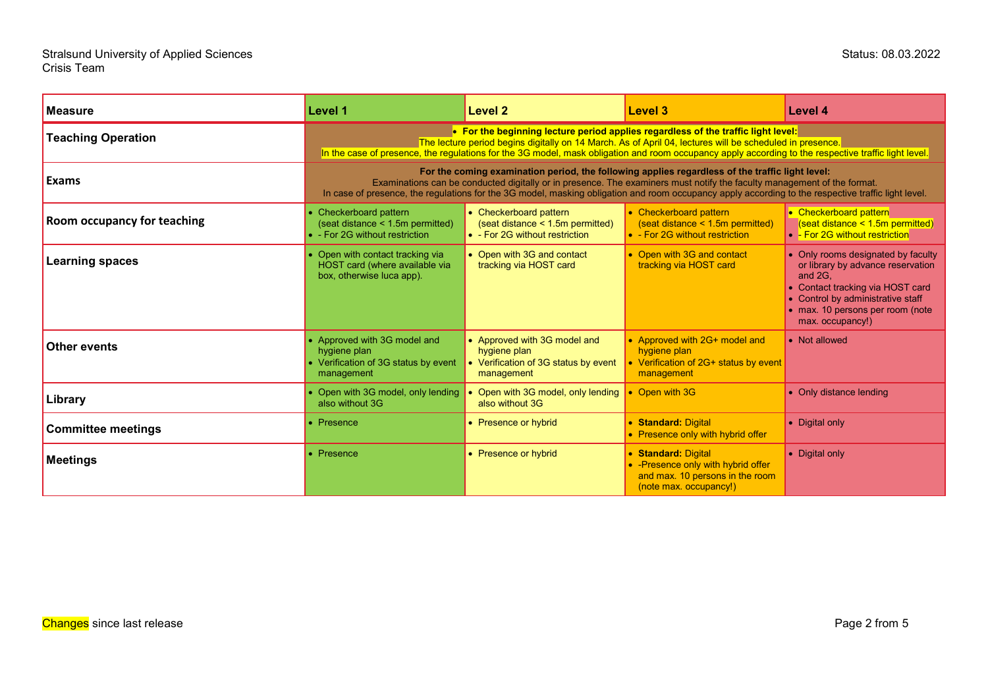| <b>Measure</b>              | Level 1                                                                                                                                                                                                                                                                                                                                                                           | Level 2                                                                                            | Level 3                                                                                                                 | Level 4                                                                                                                                                                                                             |
|-----------------------------|-----------------------------------------------------------------------------------------------------------------------------------------------------------------------------------------------------------------------------------------------------------------------------------------------------------------------------------------------------------------------------------|----------------------------------------------------------------------------------------------------|-------------------------------------------------------------------------------------------------------------------------|---------------------------------------------------------------------------------------------------------------------------------------------------------------------------------------------------------------------|
| <b>Teaching Operation</b>   | • For the beginning lecture period applies regardless of the traffic light level:<br>The lecture period begins digitally on 14 March. As of April 04, lectures will be scheduled in presence.<br>In the case of presence, the regulations for the 3G model, mask obligation and room occupancy apply according to the respective traffic light level.                             |                                                                                                    |                                                                                                                         |                                                                                                                                                                                                                     |
| <b>Exams</b>                | For the coming examination period, the following applies regardless of the traffic light level:<br>Examinations can be conducted digitally or in presence. The examiners must notify the faculty management of the format.<br>In case of presence, the regulations for the 3G model, masking obligation and room occupancy apply according to the respective traffic light level. |                                                                                                    |                                                                                                                         |                                                                                                                                                                                                                     |
| Room occupancy for teaching | Checkerboard pattern<br>(seat distance < 1.5m permitted)<br>• - For 2G without restriction                                                                                                                                                                                                                                                                                        | • Checkerboard pattern<br>(seat distance < 1.5m permitted)<br>• - For 2G without restriction       | • Checkerboard pattern<br>$(s$ eat distance < 1.5m permitted)<br>• - For 2G without restriction                         | • Checkerboard pattern<br>(seat distance $\leq$ 1.5m permitted)<br>• - For 2G without restriction                                                                                                                   |
| Learning spaces             | Open with contact tracking via<br>HOST card (where available via<br>box, otherwise luca app).                                                                                                                                                                                                                                                                                     | • Open with 3G and contact<br>tracking via HOST card                                               | • Open with 3G and contact<br>tracking via HOST card                                                                    | • Only rooms designated by faculty<br>or library by advance reservation<br>and 2G.<br>• Contact tracking via HOST card<br>• Control by administrative staff<br>• max. 10 persons per room (note<br>max. occupancy!) |
| <b>Other events</b>         | • Approved with 3G model and<br>hygiene plan<br>• Verification of 3G status by event<br>management                                                                                                                                                                                                                                                                                | • Approved with 3G model and<br>hygiene plan<br>• Verification of 3G status by event<br>management | • Approved with 2G+ model and<br>hygiene plan<br>• Verification of 2G+ status by event<br>management                    | • Not allowed                                                                                                                                                                                                       |
| Library                     | Open with 3G model, only lending<br>also without 3G                                                                                                                                                                                                                                                                                                                               | Open with 3G model, only lending<br>also without 3G                                                | • Open with 3G                                                                                                          | • Only distance lending                                                                                                                                                                                             |
| <b>Committee meetings</b>   | Presence                                                                                                                                                                                                                                                                                                                                                                          | • Presence or hybrid                                                                               | • Standard: Digital<br>• Presence only with hybrid offer                                                                | • Digital only                                                                                                                                                                                                      |
| <b>Meetings</b>             | Presence                                                                                                                                                                                                                                                                                                                                                                          | • Presence or hybrid                                                                               | • Standard: Digital<br>• - Presence only with hybrid offer<br>and max. 10 persons in the room<br>(note max. occupancy!) | • Digital only                                                                                                                                                                                                      |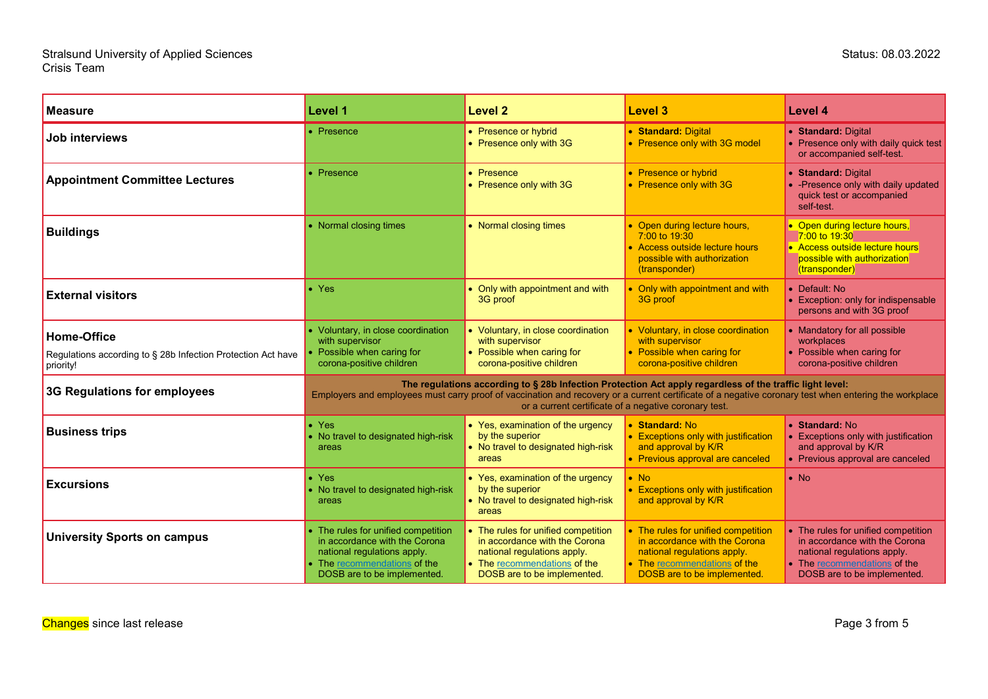#### Stralsund University of Applied Sciences Status: 08.03.2022 Crisis Team

| <b>Measure</b>                                                                                  | Level 1                                                                                                                                                                                                                                                                                                                    | <b>Level 2</b>                                                                                                                                                     | <b>Level 3</b>                                                                                                                                                     | <b>Level 4</b>                                                                                                                                                     |
|-------------------------------------------------------------------------------------------------|----------------------------------------------------------------------------------------------------------------------------------------------------------------------------------------------------------------------------------------------------------------------------------------------------------------------------|--------------------------------------------------------------------------------------------------------------------------------------------------------------------|--------------------------------------------------------------------------------------------------------------------------------------------------------------------|--------------------------------------------------------------------------------------------------------------------------------------------------------------------|
| Job interviews                                                                                  | • Presence                                                                                                                                                                                                                                                                                                                 | • Presence or hybrid<br>• Presence only with 3G                                                                                                                    | • Standard: Digital<br>• Presence only with 3G model                                                                                                               | • Standard: Digital<br>• Presence only with daily quick test<br>or accompanied self-test.                                                                          |
| <b>Appointment Committee Lectures</b>                                                           | Presence                                                                                                                                                                                                                                                                                                                   | • Presence<br>• Presence only with 3G                                                                                                                              | • Presence or hybrid<br>• Presence only with 3G                                                                                                                    | • Standard: Digital<br>• - Presence only with daily updated<br>quick test or accompanied<br>self-test.                                                             |
| <b>Buildings</b>                                                                                | • Normal closing times                                                                                                                                                                                                                                                                                                     | • Normal closing times                                                                                                                                             | • Open during lecture hours,<br>7:00 to 19:30<br>• Access outside lecture hours<br>possible with authorization<br>(transponder)                                    | • Open during lecture hours,<br>7:00 to 19:30<br>• Access outside lecture hours<br>possible with authorization<br>(transponder)                                    |
| <b>External visitors</b>                                                                        | $\bullet$ Yes                                                                                                                                                                                                                                                                                                              | • Only with appointment and with<br>3G proof                                                                                                                       | • Only with appointment and with<br>3G proof                                                                                                                       | • Default: No<br>• Exception: only for indispensable<br>persons and with 3G proof                                                                                  |
| <b>Home-Office</b><br>Regulations according to § 28b Infection Protection Act have<br>priority! | Voluntary, in close coordination<br>with supervisor<br>Possible when caring for<br>corona-positive children                                                                                                                                                                                                                | • Voluntary, in close coordination<br>with supervisor<br>• Possible when caring for<br>corona-positive children                                                    | • Voluntary, in close coordination<br>with supervisor<br>• Possible when caring for<br>corona-positive children                                                    | • Mandatory for all possible<br>workplaces<br>• Possible when caring for<br>corona-positive children                                                               |
| 3G Regulations for employees                                                                    | The regulations according to § 28b Infection Protection Act apply regardless of the traffic light level:<br>Employers and employees must carry proof of vaccination and recovery or a current certificate of a negative coronary test when entering the workplace<br>or a current certificate of a negative coronary test. |                                                                                                                                                                    |                                                                                                                                                                    |                                                                                                                                                                    |
| <b>Business trips</b>                                                                           | $\bullet$ Yes<br>No travel to designated high-risk<br>areas                                                                                                                                                                                                                                                                | • Yes, examination of the urgency<br>by the superior<br>• No travel to designated high-risk<br>areas                                                               | • Standard: No<br>• Exceptions only with justification<br>and approval by K/R<br>• Previous approval are canceled                                                  | • Standard: No<br>• Exceptions only with justification<br>and approval by K/R<br>• Previous approval are canceled                                                  |
| <b>Excursions</b>                                                                               | $\bullet$ Yes<br>No travel to designated high-risk<br>areas                                                                                                                                                                                                                                                                | • Yes, examination of the urgency<br>by the superior<br>• No travel to designated high-risk<br>areas                                                               | $\bullet$ No<br>• Exceptions only with justification<br>and approval by K/R                                                                                        | $\bullet$ No                                                                                                                                                       |
| <b>University Sports on campus</b>                                                              | The rules for unified competition<br>in accordance with the Corona<br>national regulations apply.<br>The recommendations of the<br>DOSB are to be implemented.                                                                                                                                                             | • The rules for unified competition<br>in accordance with the Corona<br>national regulations apply.<br>• The recommendations of the<br>DOSB are to be implemented. | • The rules for unified competition<br>in accordance with the Corona<br>national regulations apply.<br>• The recommendations of the<br>DOSB are to be implemented. | • The rules for unified competition<br>in accordance with the Corona<br>national regulations apply.<br>• The recommendations of the<br>DOSB are to be implemented. |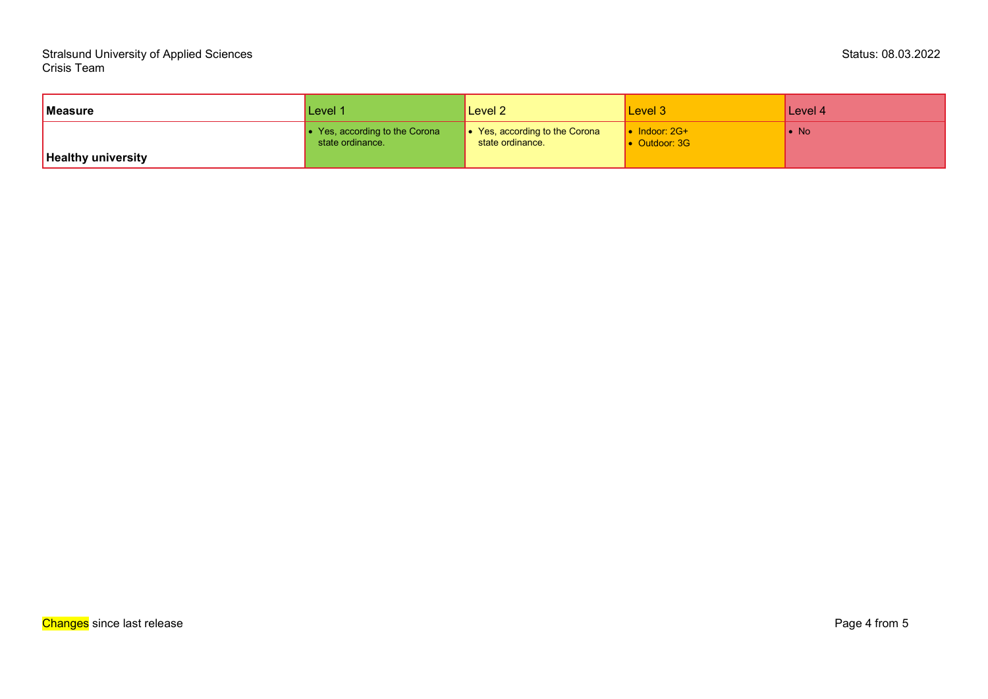| Measure                   | Level 1                                                    | Level 2                                                    | Level 3                                        | Level 4      |
|---------------------------|------------------------------------------------------------|------------------------------------------------------------|------------------------------------------------|--------------|
| <b>Healthy university</b> | $\bullet$ Yes, according to the Corona<br>state ordinance. | $\bullet$ Yes, according to the Corona<br>state ordinance. | $\bullet$ Indoor: 2G+<br>$\bullet$ Outdoor: 3G | $\bullet$ No |